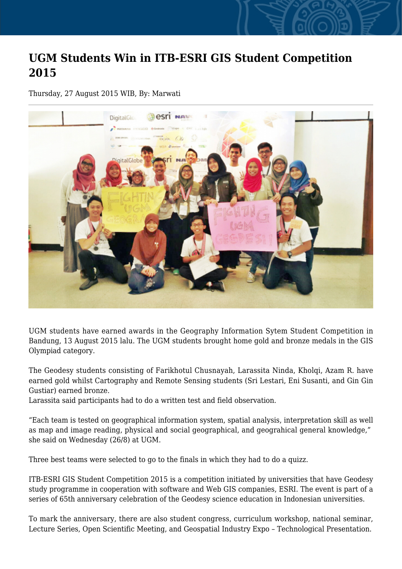## **UGM Students Win in ITB-ESRI GIS Student Competition 2015**

Thursday, 27 August 2015 WIB, By: Marwati



UGM students have earned awards in the Geography Information Sytem Student Competition in Bandung, 13 August 2015 lalu. The UGM students brought home gold and bronze medals in the GIS Olympiad category.

The Geodesy students consisting of Farikhotul Chusnayah, Larassita Ninda, Kholqi, Azam R. have earned gold whilst Cartography and Remote Sensing students (Sri Lestari, Eni Susanti, and Gin Gin Gustiar) earned bronze.

Larassita said participants had to do a written test and field observation.

"Each team is tested on geographical information system, spatial analysis, interpretation skill as well as map and image reading, physical and social geographical, and geograhical general knowledge," she said on Wednesday (26/8) at UGM.

Three best teams were selected to go to the finals in which they had to do a quizz.

ITB-ESRI GIS Student Competition 2015 is a competition initiated by universities that have Geodesy study programme in cooperation with software and Web GIS companies, ESRI. The event is part of a series of 65th anniversary celebration of the Geodesy science education in Indonesian universities.

To mark the anniversary, there are also student congress, curriculum workshop, national seminar, Lecture Series, Open Scientific Meeting, and Geospatial Industry Expo – Technological Presentation.